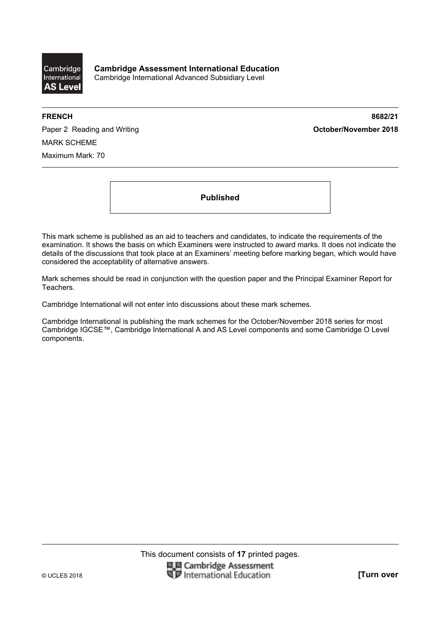

**FRENCH 8682/21** 

Paper 2 Reading and Writing **Contact Act and Act and Act and Act and Act and Act of Paper 2018** MARK SCHEME Maximum Mark: 70

**Published** 

This mark scheme is published as an aid to teachers and candidates, to indicate the requirements of the examination. It shows the basis on which Examiners were instructed to award marks. It does not indicate the details of the discussions that took place at an Examiners' meeting before marking began, which would have considered the acceptability of alternative answers.

Mark schemes should be read in conjunction with the question paper and the Principal Examiner Report for Teachers.

Cambridge International will not enter into discussions about these mark schemes.

Cambridge International is publishing the mark schemes for the October/November 2018 series for most Cambridge IGCSE™, Cambridge International A and AS Level components and some Cambridge O Level components.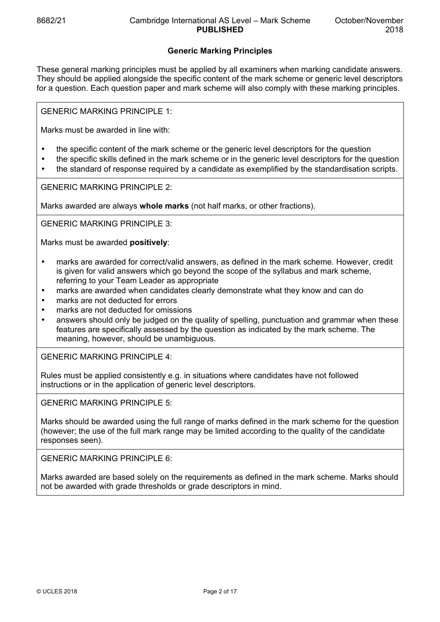## **Generic Marking Principles**

These general marking principles must be applied by all examiners when marking candidate answers. They should be applied alongside the specific content of the mark scheme or generic level descriptors for a question. Each question paper and mark scheme will also comply with these marking principles.

GENERIC MARKING PRINCIPLE 1:

Marks must be awarded in line with:

- the specific content of the mark scheme or the generic level descriptors for the question
- the specific skills defined in the mark scheme or in the generic level descriptors for the question
- the standard of response required by a candidate as exemplified by the standardisation scripts.

GENERIC MARKING PRINCIPLE 2:

Marks awarded are always **whole marks** (not half marks, or other fractions).

GENERIC MARKING PRINCIPLE 3:

Marks must be awarded **positively**:

- marks are awarded for correct/valid answers, as defined in the mark scheme. However, credit is given for valid answers which go beyond the scope of the syllabus and mark scheme, referring to your Team Leader as appropriate
- marks are awarded when candidates clearly demonstrate what they know and can do
- marks are not deducted for errors
- marks are not deducted for omissions
- answers should only be judged on the quality of spelling, punctuation and grammar when these features are specifically assessed by the question as indicated by the mark scheme. The meaning, however, should be unambiguous.

GENERIC MARKING PRINCIPLE 4:

Rules must be applied consistently e.g. in situations where candidates have not followed instructions or in the application of generic level descriptors.

GENERIC MARKING PRINCIPLE 5:

Marks should be awarded using the full range of marks defined in the mark scheme for the question (however; the use of the full mark range may be limited according to the quality of the candidate responses seen).

GENERIC MARKING PRINCIPLE 6:

Marks awarded are based solely on the requirements as defined in the mark scheme. Marks should not be awarded with grade thresholds or grade descriptors in mind.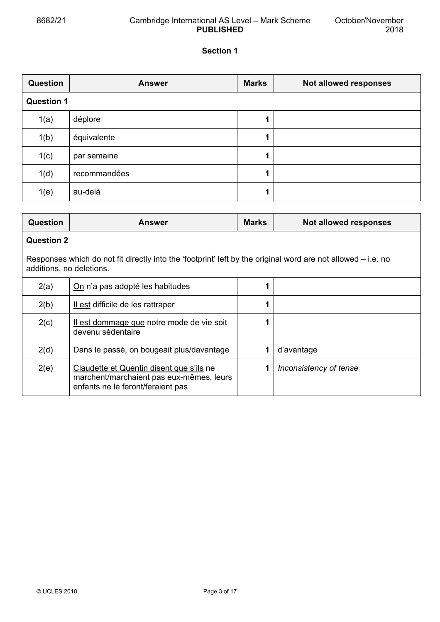## 8682/21 Cambridge International AS Level – Mark Scheme **PUBLISHED**

# **Section 1**

| <b>Question</b>   | <b>Answer</b> | <b>Marks</b> | Not allowed responses |
|-------------------|---------------|--------------|-----------------------|
| <b>Question 1</b> |               |              |                       |
| 1(a)              | déplore       | 1            |                       |
| 1(b)              | équivalente   | 1            |                       |
| 1(c)              | par semaine   | 1            |                       |
| 1(d)              | recommandées  | 1            |                       |
| 1(e)              | au-delà       | 1            |                       |

| <b>Question</b>                                                                                                                            | <b>Answer</b>                                                                                                             | <b>Marks</b> | Not allowed responses  |
|--------------------------------------------------------------------------------------------------------------------------------------------|---------------------------------------------------------------------------------------------------------------------------|--------------|------------------------|
| <b>Question 2</b>                                                                                                                          |                                                                                                                           |              |                        |
| Responses which do not fit directly into the 'footprint' left by the original word are not allowed $-$ i.e. no<br>additions, no deletions. |                                                                                                                           |              |                        |
| 2(a)                                                                                                                                       | On n'a pas adopté les habitudes                                                                                           |              |                        |
| 2(b)                                                                                                                                       | Il est difficile de les rattraper                                                                                         |              |                        |
| 2(c)                                                                                                                                       | Il est dommage que notre mode de vie soit<br>devenu sédentaire                                                            |              |                        |
| 2(d)                                                                                                                                       | Dans le passé, on bougeait plus/davantage                                                                                 |              | d'avantage             |
| 2(e)                                                                                                                                       | Claudette et Quentin disent que s'ils ne<br>marchent/marchaient pas eux-mêmes, leurs<br>enfants ne le feront/feraient pas |              | Inconsistency of tense |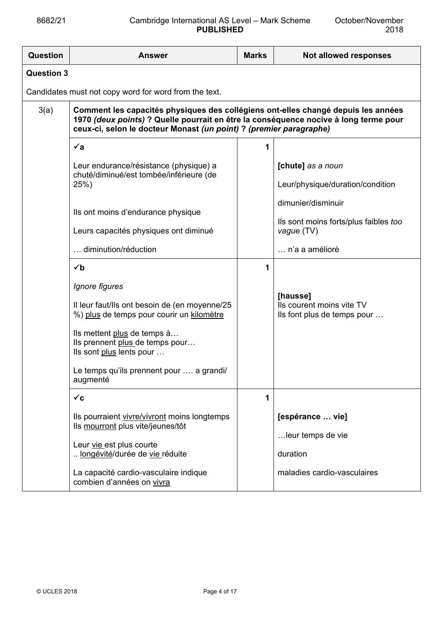| Question          | <b>Answer</b>                                                                                                                                                                                                                                                                      | <b>Marks</b> | Not allowed responses                                                            |
|-------------------|------------------------------------------------------------------------------------------------------------------------------------------------------------------------------------------------------------------------------------------------------------------------------------|--------------|----------------------------------------------------------------------------------|
| <b>Question 3</b> |                                                                                                                                                                                                                                                                                    |              |                                                                                  |
|                   | Candidates must not copy word for word from the text.                                                                                                                                                                                                                              |              |                                                                                  |
| 3(a)              | Comment les capacités physiques des collégiens ont-elles changé depuis les années<br>1970 (deux points) ? Quelle pourrait en être la conséquence nocive à long terme pour<br>ceux-ci, selon le docteur Monast (un point) ? (premier paragraphe)                                    |              |                                                                                  |
|                   | $\check{a}$                                                                                                                                                                                                                                                                        | 1            |                                                                                  |
|                   | Leur endurance/résistance (physique) a<br>chuté/diminué/est tombée/inférieure (de<br>25%                                                                                                                                                                                           |              | [chute] as a noun<br>Leur/physique/duration/condition                            |
|                   | Ils ont moins d'endurance physique<br>Leurs capacités physiques ont diminué                                                                                                                                                                                                        |              | dimunier/disminuir<br>Ils sont moins forts/plus faibles too<br>vague (TV)        |
|                   | diminution/réduction                                                                                                                                                                                                                                                               |              | n'a a amélioré                                                                   |
|                   | $\checkmark$<br>Ignore figures<br>Il leur faut/lls ont besoin de (en moyenne/25<br>%) plus de temps pour courir un kilomètre<br>Ils mettent plus de temps à<br>Ils prennent plus de temps pour<br>Ils sont plus lents pour<br>Le temps qu'ils prennent pour  a grandi/<br>augmenté |              | [hausse]<br>Ils courent moins vite TV<br>Ils font plus de temps pour             |
|                   | $\checkmark$ c                                                                                                                                                                                                                                                                     | 1            |                                                                                  |
|                   | Ils pourraient vivre/vivront moins longtemps<br>Ils mourront plus vite/jeunes/tôt<br>Leur vie est plus courte<br>longévité/durée de vie réduite<br>La capacité cardio-vasculaire indique<br>combien d'années on vivra                                                              |              | [espérance  vie]<br>leur temps de vie<br>duration<br>maladies cardio-vasculaires |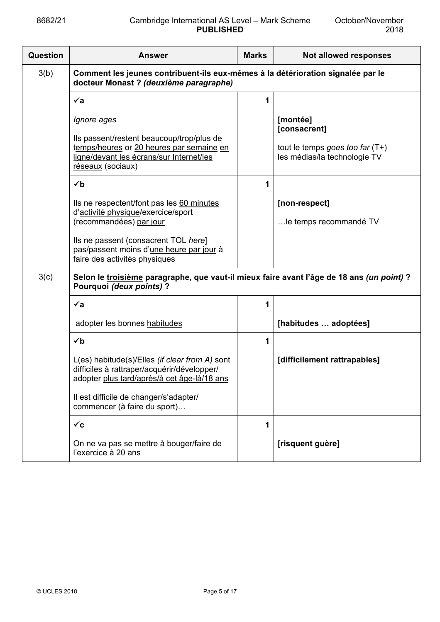| <b>Question</b> | <b>Answer</b>                                                                                                                                                         | <b>Marks</b> | Not allowed responses                                                                         |
|-----------------|-----------------------------------------------------------------------------------------------------------------------------------------------------------------------|--------------|-----------------------------------------------------------------------------------------------|
| 3(b)            | Comment les jeunes contribuent-ils eux-mêmes à la détérioration signalée par le<br>docteur Monast ? (deuxième paragraphe)                                             |              |                                                                                               |
|                 | $\checkmark$ a                                                                                                                                                        | 1            |                                                                                               |
|                 | Ignore ages<br>Ils passent/restent beaucoup/trop/plus de<br>temps/heures or 20 heures par semaine en<br>ligne/devant les écrans/sur Internet/les<br>réseaux (sociaux) |              | [montée]<br>[consacrent]<br>tout le temps goes too far $(T+)$<br>les médias/la technologie TV |
|                 | $\checkmark$                                                                                                                                                          | 1            |                                                                                               |
|                 | Ils ne respectent/font pas les 60 minutes<br>d'activité physique/exercice/sport<br>(recommandées) par jour                                                            |              | [non-respect]<br>le temps recommandé TV                                                       |
|                 | Ils ne passent (consacrent TOL here]<br>pas/passent moins d'une heure par jour à<br>faire des activités physiques                                                     |              |                                                                                               |
| 3(c)            | Selon le troisième paragraphe, que vaut-il mieux faire avant l'âge de 18 ans (un point) ?<br>Pourquoi (deux points) ?                                                 |              |                                                                                               |
|                 | $\check{a}$                                                                                                                                                           | 1            |                                                                                               |
|                 | adopter les bonnes habitudes                                                                                                                                          |              | [habitudes  adoptées]                                                                         |
|                 | $\checkmark$                                                                                                                                                          | 1            |                                                                                               |
|                 | L(es) habitude(s)/Elles (if clear from A) sont<br>difficiles à rattraper/acquérir/développer/<br>adopter <u>plus tard/après/à cet âge-là/18 ans</u>                   |              | [difficilement rattrapables]                                                                  |
|                 | Il est difficile de changer/s'adapter/<br>commencer (à faire du sport)                                                                                                |              |                                                                                               |
|                 | $\checkmark$ c                                                                                                                                                        | 1            |                                                                                               |
|                 | On ne va pas se mettre à bouger/faire de<br>l'exercice à 20 ans                                                                                                       |              | [risquent guère]                                                                              |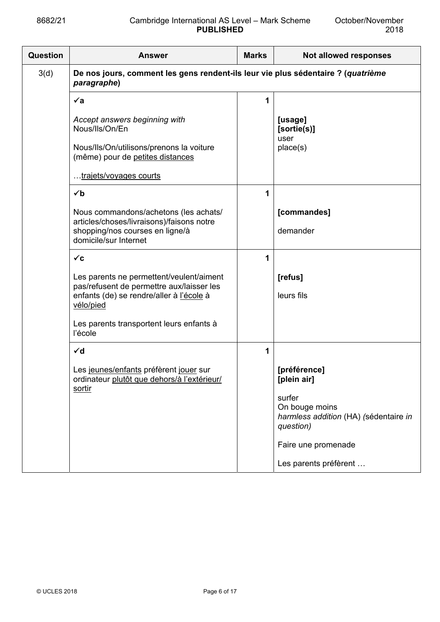| Question | <b>Answer</b>                                                                                                                                  | <b>Marks</b> | Not allowed responses                                                          |
|----------|------------------------------------------------------------------------------------------------------------------------------------------------|--------------|--------------------------------------------------------------------------------|
| 3(d)     | De nos jours, comment les gens rendent-ils leur vie plus sédentaire ? (quatrième<br>paragraphe)                                                |              |                                                                                |
|          | $\checkmark$ a                                                                                                                                 | 1            |                                                                                |
|          | Accept answers beginning with<br>Nous/lls/On/En                                                                                                |              | [usage]<br>[sortie(s)]<br>user                                                 |
|          | Nous/Ils/On/utilisons/prenons la voiture<br>(même) pour de petites distances                                                                   |              | place(s)                                                                       |
|          | trajets/voyages courts                                                                                                                         |              |                                                                                |
|          | $\checkmark$                                                                                                                                   | 1            |                                                                                |
|          | Nous commandons/achetons (les achats/<br>articles/choses/livraisons)/faisons notre                                                             |              | [commandes]                                                                    |
|          | shopping/nos courses en ligne/à<br>domicile/sur Internet                                                                                       |              | demander                                                                       |
|          | $\checkmark$ c                                                                                                                                 | 1            |                                                                                |
|          | Les parents ne permettent/veulent/aiment<br>pas/refusent de permettre aux/laisser les<br>enfants (de) se rendre/aller à l'école à<br>vélo/pied |              | [refus]<br>leurs fils                                                          |
|          | Les parents transportent leurs enfants à<br>l'école                                                                                            |              |                                                                                |
|          | $\checkmark$ d                                                                                                                                 | 1            |                                                                                |
|          | Les jeunes/enfants préfèrent jouer sur<br>ordinateur plutôt que dehors/à l'extérieur/<br>sortir                                                |              | [préférence]<br>[plein air]                                                    |
|          |                                                                                                                                                |              | surfer<br>On bouge moins<br>harmless addition (HA) (sédentaire in<br>question) |
|          |                                                                                                                                                |              | Faire une promenade                                                            |
|          |                                                                                                                                                |              | Les parents préfèrent                                                          |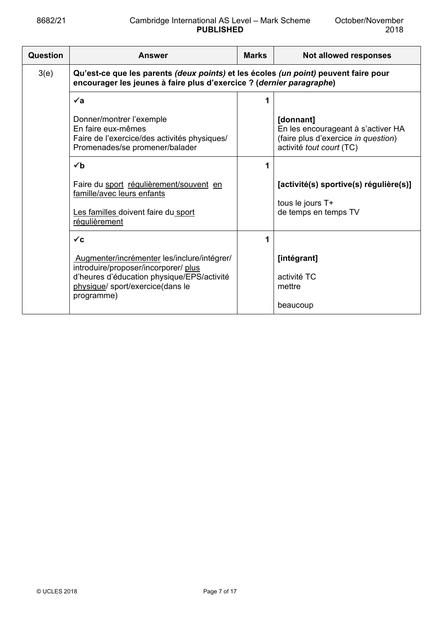| <b>Question</b>                                                                                                                                                     | <b>Answer</b>                                                                                                                    | <b>Marks</b> | Not allowed responses                                                                                              |
|---------------------------------------------------------------------------------------------------------------------------------------------------------------------|----------------------------------------------------------------------------------------------------------------------------------|--------------|--------------------------------------------------------------------------------------------------------------------|
| 3(e)<br>Qu'est-ce que les parents (deux points) et les écoles (un point) peuvent faire pour<br>encourager les jeunes à faire plus d'exercice ? (dernier paragraphe) |                                                                                                                                  |              |                                                                                                                    |
|                                                                                                                                                                     | $\checkmark$ a                                                                                                                   |              |                                                                                                                    |
|                                                                                                                                                                     | Donner/montrer l'exemple<br>En faire eux-mêmes<br>Faire de l'exercice/des activités physiques/<br>Promenades/se promener/balader |              | [donnant]<br>En les encourageant à s'activer HA<br>(faire plus d'exercice in question)<br>activité tout court (TC) |
|                                                                                                                                                                     | $\checkmark$                                                                                                                     |              |                                                                                                                    |
|                                                                                                                                                                     | Faire du sport régulièrement/souvent en<br>famille/avec leurs enfants                                                            |              | [activité(s) sportive(s) régulière(s)]                                                                             |
|                                                                                                                                                                     | Les familles doivent faire du sport<br>régulièrement                                                                             |              | tous le jours T+<br>de temps en temps TV                                                                           |
|                                                                                                                                                                     | $\checkmark$ c                                                                                                                   | 1            |                                                                                                                    |
|                                                                                                                                                                     | Augmenter/incrémenter les/inclure/intégrer/<br>introduire/proposer/incorporer/ plus                                              |              | [intégrant]                                                                                                        |
|                                                                                                                                                                     | d'heures d'éducation physique/EPS/activité<br>physique/ sport/exercice(dans le<br>programme)                                     |              | activité TC<br>mettre                                                                                              |
|                                                                                                                                                                     |                                                                                                                                  |              | beaucoup                                                                                                           |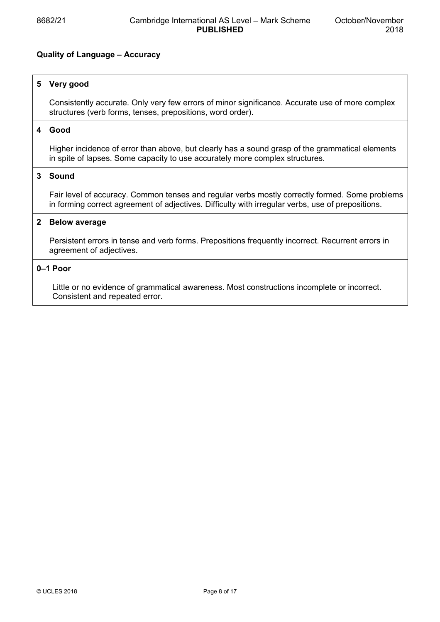## **Quality of Language – Accuracy**

## **5 Very good**

 Consistently accurate. Only very few errors of minor significance. Accurate use of more complex structures (verb forms, tenses, prepositions, word order).

## **4 Good**

 Higher incidence of error than above, but clearly has a sound grasp of the grammatical elements in spite of lapses. Some capacity to use accurately more complex structures.

## **3 Sound**

 Fair level of accuracy. Common tenses and regular verbs mostly correctly formed. Some problems in forming correct agreement of adjectives. Difficulty with irregular verbs, use of prepositions.

## **2 Below average**

 Persistent errors in tense and verb forms. Prepositions frequently incorrect. Recurrent errors in agreement of adjectives.

#### **0–1 Poor**

 Little or no evidence of grammatical awareness. Most constructions incomplete or incorrect. Consistent and repeated error.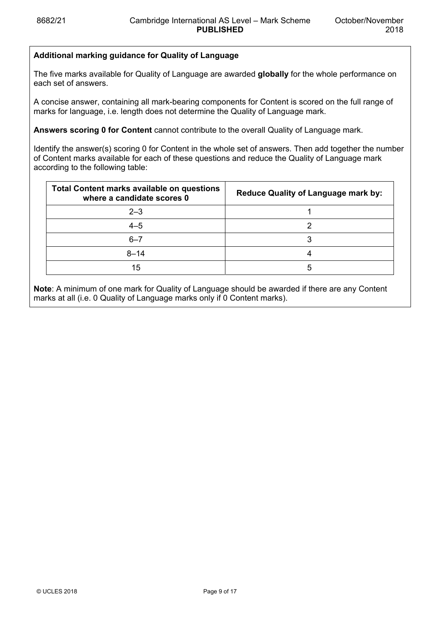## **Additional marking guidance for Quality of Language**

The five marks available for Quality of Language are awarded **globally** for the whole performance on each set of answers.

A concise answer, containing all mark-bearing components for Content is scored on the full range of marks for language, i.e. length does not determine the Quality of Language mark.

**Answers scoring 0 for Content** cannot contribute to the overall Quality of Language mark.

Identify the answer(s) scoring 0 for Content in the whole set of answers. Then add together the number of Content marks available for each of these questions and reduce the Quality of Language mark according to the following table:

| <b>Total Content marks available on questions</b><br>where a candidate scores 0 | <b>Reduce Quality of Language mark by:</b> |
|---------------------------------------------------------------------------------|--------------------------------------------|
| $2 - 3$                                                                         |                                            |
| $4 - 5$                                                                         |                                            |
| $6 - 7$                                                                         |                                            |
| $8 - 14$                                                                        |                                            |
| 15                                                                              | 5                                          |

**Note**: A minimum of one mark for Quality of Language should be awarded if there are any Content marks at all (i.e. 0 Quality of Language marks only if 0 Content marks).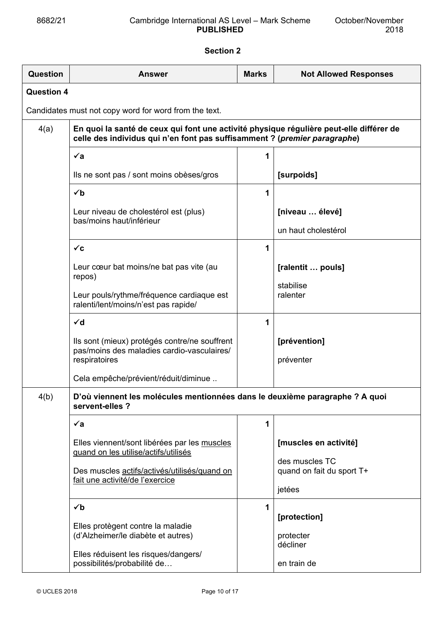# **Section 2**

| Question          | <b>Answer</b>                                                                                                                                                        | <b>Marks</b> | <b>Not Allowed Responses</b>                |
|-------------------|----------------------------------------------------------------------------------------------------------------------------------------------------------------------|--------------|---------------------------------------------|
| <b>Question 4</b> |                                                                                                                                                                      |              |                                             |
|                   | Candidates must not copy word for word from the text.                                                                                                                |              |                                             |
| 4(a)              | En quoi la santé de ceux qui font une activité physique régulière peut-elle différer de<br>celle des individus qui n'en font pas suffisamment ? (premier paragraphe) |              |                                             |
|                   | $\check{a}$                                                                                                                                                          | 1            |                                             |
|                   | Ils ne sont pas / sont moins obèses/gros                                                                                                                             |              | [surpoids]                                  |
|                   | $\checkmark$                                                                                                                                                         | 1            |                                             |
|                   | Leur niveau de cholestérol est (plus)<br>bas/moins haut/inférieur                                                                                                    |              | [niveau  élevé]                             |
|                   |                                                                                                                                                                      |              | un haut cholestérol                         |
|                   | $\checkmark$ c                                                                                                                                                       | 1            |                                             |
|                   | Leur cœur bat moins/ne bat pas vite (au<br>repos)                                                                                                                    |              | [ralentit  pouls]                           |
|                   | Leur pouls/rythme/fréquence cardiaque est<br>ralenti/lent/moins/n'est pas rapide/                                                                                    |              | stabilise<br>ralenter                       |
|                   | $\checkmark$ d                                                                                                                                                       | 1            |                                             |
|                   | Ils sont (mieux) protégés contre/ne souffrent<br>pas/moins des maladies cardio-vasculaires/<br>respiratoires                                                         |              | [prévention]<br>préventer                   |
|                   | Cela empêche/prévient/réduit/diminue                                                                                                                                 |              |                                             |
| 4(b)              | D'où viennent les molécules mentionnées dans le deuxième paragraphe ? A quoi<br>servent-elles ?                                                                      |              |                                             |
|                   | $\checkmark$ a                                                                                                                                                       | 1            |                                             |
|                   | Elles viennent/sont libérées par les muscles<br>guand on les utilise/actifs/utilisés                                                                                 |              | [muscles en activité]                       |
|                   | Des muscles actifs/activés/utilisés/quand on<br>fait une activité/de l'exercice                                                                                      |              | des muscles TC<br>quand on fait du sport T+ |
|                   |                                                                                                                                                                      |              | jetées                                      |
|                   | $\checkmark$<br>Elles protègent contre la maladie<br>(d'Alzheimer/le diabète et autres)                                                                              | 1            | [protection]<br>protecter<br>décliner       |
|                   | Elles réduisent les risques/dangers/<br>possibilités/probabilité de                                                                                                  |              | en train de                                 |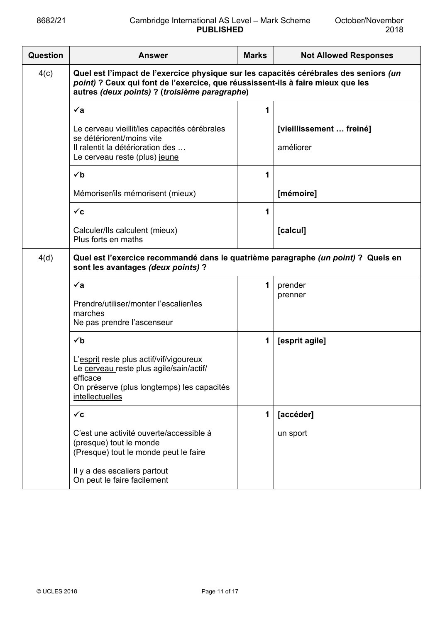| Question                                                                                                                        | <b>Answer</b>                                                                                                                                                                                                             | <b>Marks</b> | <b>Not Allowed Responses</b>          |
|---------------------------------------------------------------------------------------------------------------------------------|---------------------------------------------------------------------------------------------------------------------------------------------------------------------------------------------------------------------------|--------------|---------------------------------------|
| 4(c)                                                                                                                            | Quel est l'impact de l'exercice physique sur les capacités cérébrales des seniors (un<br>point) ? Ceux qui font de l'exercice, que réussissent-ils à faire mieux que les<br>autres (deux points) ? (troisième paragraphe) |              |                                       |
|                                                                                                                                 | $\checkmark$ a                                                                                                                                                                                                            | 1            |                                       |
|                                                                                                                                 | Le cerveau vieillit/les capacités cérébrales<br>se détériorent/moins vite<br>Il ralentit la détérioration des<br>Le cerveau reste (plus) jeune                                                                            |              | [vieillissement  freiné]<br>améliorer |
|                                                                                                                                 | $\checkmark$                                                                                                                                                                                                              | 1            |                                       |
|                                                                                                                                 | Mémoriser/ils mémorisent (mieux)                                                                                                                                                                                          |              | [mémoire]                             |
|                                                                                                                                 | $\checkmark$ c                                                                                                                                                                                                            | 1            |                                       |
|                                                                                                                                 | Calculer/Ils calculent (mieux)<br>Plus forts en maths                                                                                                                                                                     |              | [calcul]                              |
| Quel est l'exercice recommandé dans le quatrième paragraphe (un point) ? Quels en<br>4(d)<br>sont les avantages (deux points) ? |                                                                                                                                                                                                                           |              |                                       |
|                                                                                                                                 | $\checkmark$ a                                                                                                                                                                                                            | 1            | prender                               |
|                                                                                                                                 | Prendre/utiliser/monter l'escalier/les<br>marches<br>Ne pas prendre l'ascenseur                                                                                                                                           |              | prenner                               |
|                                                                                                                                 | $\checkmark$                                                                                                                                                                                                              | 1            | [esprit agile]                        |
|                                                                                                                                 | L'esprit reste plus actif/vif/vigoureux<br>Le cerveau reste plus agile/sain/actif/<br>efficace<br>On préserve (plus longtemps) les capacités<br>intellectuelles                                                           |              |                                       |
|                                                                                                                                 | $\checkmark$ c                                                                                                                                                                                                            | 1            | [accéder]                             |
|                                                                                                                                 | C'est une activité ouverte/accessible à<br>(presque) tout le monde<br>(Presque) tout le monde peut le faire                                                                                                               |              | un sport                              |
|                                                                                                                                 | Il y a des escaliers partout<br>On peut le faire facilement                                                                                                                                                               |              |                                       |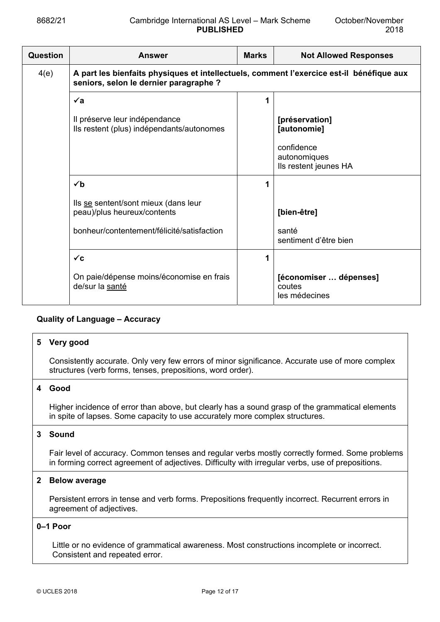| <b>Question</b> | <b>Answer</b>                                                                                                                      | <b>Marks</b> | <b>Not Allowed Responses</b>                        |  |
|-----------------|------------------------------------------------------------------------------------------------------------------------------------|--------------|-----------------------------------------------------|--|
| 4(e)            | A part les bienfaits physiques et intellectuels, comment l'exercice est-il bénéfique aux<br>seniors, selon le dernier paragraphe ? |              |                                                     |  |
|                 | $\checkmark$ a                                                                                                                     | 1            |                                                     |  |
|                 | Il préserve leur indépendance<br>Ils restent (plus) indépendants/autonomes                                                         |              | [préservation]<br>[autonomie]                       |  |
|                 |                                                                                                                                    |              | confidence<br>autonomiques<br>Ils restent jeunes HA |  |
|                 | $\checkmark$                                                                                                                       | 1            |                                                     |  |
|                 | Ils se sentent/sont mieux (dans leur<br>peau)/plus heureux/contents                                                                |              | [bien-être]                                         |  |
|                 | bonheur/contentement/félicité/satisfaction                                                                                         |              | santé<br>sentiment d'être bien                      |  |
|                 | $\checkmark$ c                                                                                                                     | 1            |                                                     |  |
|                 | On paie/dépense moins/économise en frais<br>de/sur la santé                                                                        |              | [économiser  dépenses]<br>coutes<br>les médecines   |  |

## **Quality of Language – Accuracy**

#### **5 Very good**

 Consistently accurate. Only very few errors of minor significance. Accurate use of more complex structures (verb forms, tenses, prepositions, word order).

#### **4 Good**

 Higher incidence of error than above, but clearly has a sound grasp of the grammatical elements in spite of lapses. Some capacity to use accurately more complex structures.

#### **3 Sound**

 Fair level of accuracy. Common tenses and regular verbs mostly correctly formed. Some problems in forming correct agreement of adjectives. Difficulty with irregular verbs, use of prepositions.

## **2 Below average**

 Persistent errors in tense and verb forms. Prepositions frequently incorrect. Recurrent errors in agreement of adjectives.

#### **0–1 Poor**

 Little or no evidence of grammatical awareness. Most constructions incomplete or incorrect. Consistent and repeated error.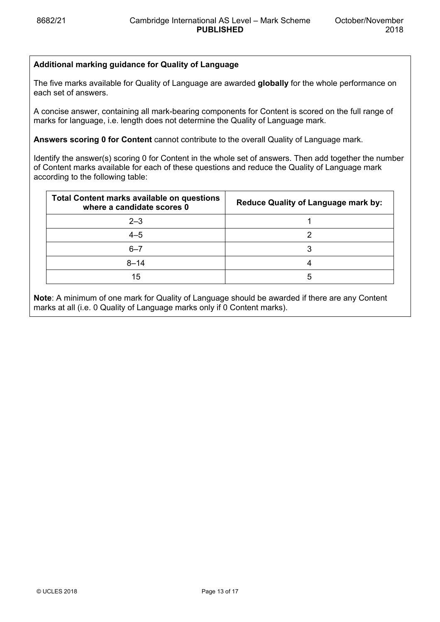# **Additional marking guidance for Quality of Language**

The five marks available for Quality of Language are awarded **globally** for the whole performance on each set of answers.

A concise answer, containing all mark-bearing components for Content is scored on the full range of marks for language, i.e. length does not determine the Quality of Language mark.

**Answers scoring 0 for Content** cannot contribute to the overall Quality of Language mark.

Identify the answer(s) scoring 0 for Content in the whole set of answers. Then add together the number of Content marks available for each of these questions and reduce the Quality of Language mark according to the following table:

| <b>Total Content marks available on questions</b><br>where a candidate scores 0 | <b>Reduce Quality of Language mark by:</b> |
|---------------------------------------------------------------------------------|--------------------------------------------|
| $2 - 3$                                                                         |                                            |
| $4 - 5$                                                                         |                                            |
| $6 - 7$                                                                         |                                            |
| $8 - 14$                                                                        |                                            |
| 15                                                                              | :C                                         |

**Note**: A minimum of one mark for Quality of Language should be awarded if there are any Content marks at all (i.e. 0 Quality of Language marks only if 0 Content marks).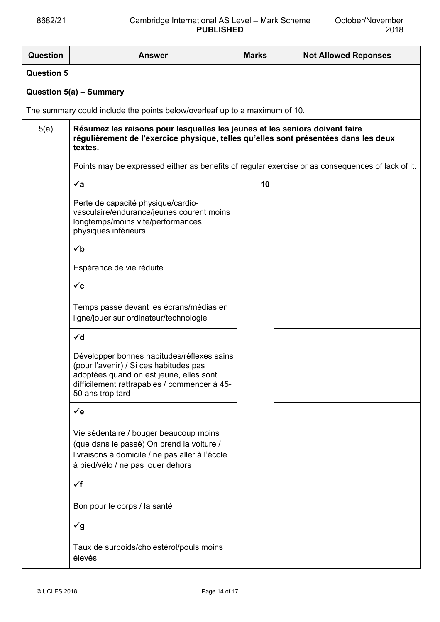| <b>Question</b>   | <b>Answer</b>                                                                                                                                                                                       | <b>Marks</b> | <b>Not Allowed Reponses</b> |  |
|-------------------|-----------------------------------------------------------------------------------------------------------------------------------------------------------------------------------------------------|--------------|-----------------------------|--|
| <b>Question 5</b> |                                                                                                                                                                                                     |              |                             |  |
|                   | Question 5(a) - Summary                                                                                                                                                                             |              |                             |  |
|                   | The summary could include the points below/overleaf up to a maximum of 10.                                                                                                                          |              |                             |  |
| 5(a)              | Résumez les raisons pour lesquelles les jeunes et les seniors doivent faire<br>régulièrement de l'exercice physique, telles qu'elles sont présentées dans les deux<br>textes.                       |              |                             |  |
|                   | Points may be expressed either as benefits of regular exercise or as consequences of lack of it.                                                                                                    |              |                             |  |
|                   | $\check{a}$                                                                                                                                                                                         | 10           |                             |  |
|                   | Perte de capacité physique/cardio-<br>vasculaire/endurance/jeunes courent moins<br>longtemps/moins vite/performances<br>physiques inférieurs                                                        |              |                             |  |
|                   | $\checkmark$                                                                                                                                                                                        |              |                             |  |
|                   | Espérance de vie réduite                                                                                                                                                                            |              |                             |  |
|                   | $\checkmark$ c                                                                                                                                                                                      |              |                             |  |
|                   | Temps passé devant les écrans/médias en<br>ligne/jouer sur ordinateur/technologie                                                                                                                   |              |                             |  |
|                   | $\checkmark$ d                                                                                                                                                                                      |              |                             |  |
|                   | Développer bonnes habitudes/réflexes sains<br>(pour l'avenir) / Si ces habitudes pas<br>adoptées quand on est jeune, elles sont<br>difficilement rattrapables / commencer à 45-<br>50 ans trop tard |              |                             |  |
|                   | $\checkmark$ e                                                                                                                                                                                      |              |                             |  |
|                   | Vie sédentaire / bouger beaucoup moins<br>(que dans le passé) On prend la voiture /<br>livraisons à domicile / ne pas aller à l'école<br>à pied/vélo / ne pas jouer dehors                          |              |                             |  |
|                   | $\checkmark$ f                                                                                                                                                                                      |              |                             |  |
|                   | Bon pour le corps / la santé                                                                                                                                                                        |              |                             |  |
|                   | $\check{g}$                                                                                                                                                                                         |              |                             |  |
|                   | Taux de surpoids/cholestérol/pouls moins<br>élevés                                                                                                                                                  |              |                             |  |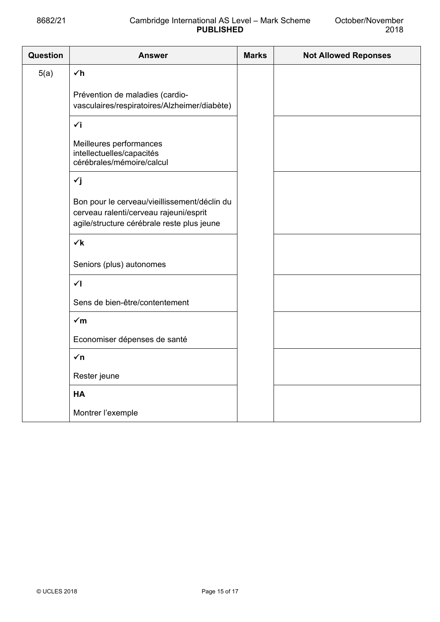## 8682/21 Cambridge International AS Level – Mark Scheme **PUBLISHED**

| <b>Question</b> | <b>Answer</b>                                                                                                                        | <b>Marks</b> | <b>Not Allowed Reponses</b> |
|-----------------|--------------------------------------------------------------------------------------------------------------------------------------|--------------|-----------------------------|
| 5(a)            | $\checkmark$ h                                                                                                                       |              |                             |
|                 | Prévention de maladies (cardio-<br>vasculaires/respiratoires/Alzheimer/diabète)                                                      |              |                             |
|                 | $\check{v}$                                                                                                                          |              |                             |
|                 | Meilleures performances<br>intellectuelles/capacités<br>cérébrales/mémoire/calcul                                                    |              |                             |
|                 | $\check{y}$                                                                                                                          |              |                             |
|                 | Bon pour le cerveau/vieillissement/déclin du<br>cerveau ralenti/cerveau rajeuni/esprit<br>agile/structure cérébrale reste plus jeune |              |                             |
|                 | $\checkmark$                                                                                                                         |              |                             |
|                 | Seniors (plus) autonomes                                                                                                             |              |                             |
|                 | $\checkmark$                                                                                                                         |              |                             |
|                 | Sens de bien-être/contentement                                                                                                       |              |                             |
|                 | $\sqrt{m}$                                                                                                                           |              |                             |
|                 | Economiser dépenses de santé                                                                                                         |              |                             |
|                 | $\sqrt{n}$                                                                                                                           |              |                             |
|                 | Rester jeune                                                                                                                         |              |                             |
|                 | <b>HA</b>                                                                                                                            |              |                             |
|                 | Montrer l'exemple                                                                                                                    |              |                             |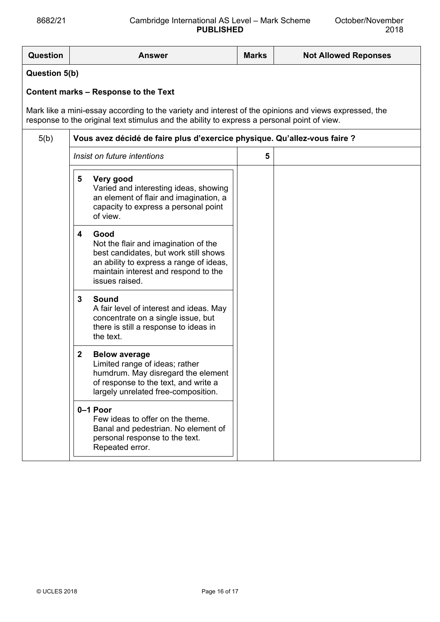| <b>Question</b>                                                                                                                                                                                      | <b>Answer</b>                                                                                                                                                                                   | <b>Marks</b> | <b>Not Allowed Reponses</b> |  |  |  |
|------------------------------------------------------------------------------------------------------------------------------------------------------------------------------------------------------|-------------------------------------------------------------------------------------------------------------------------------------------------------------------------------------------------|--------------|-----------------------------|--|--|--|
| <b>Question 5(b)</b>                                                                                                                                                                                 |                                                                                                                                                                                                 |              |                             |  |  |  |
| Content marks – Response to the Text                                                                                                                                                                 |                                                                                                                                                                                                 |              |                             |  |  |  |
| Mark like a mini-essay according to the variety and interest of the opinions and views expressed, the<br>response to the original text stimulus and the ability to express a personal point of view. |                                                                                                                                                                                                 |              |                             |  |  |  |
| 5(b)                                                                                                                                                                                                 | Vous avez décidé de faire plus d'exercice physique. Qu'allez-vous faire ?                                                                                                                       |              |                             |  |  |  |
|                                                                                                                                                                                                      | Insist on future intentions                                                                                                                                                                     | 5            |                             |  |  |  |
|                                                                                                                                                                                                      | 5<br>Very good<br>Varied and interesting ideas, showing<br>an element of flair and imagination, a<br>capacity to express a personal point<br>of view.                                           |              |                             |  |  |  |
|                                                                                                                                                                                                      | Good<br>4<br>Not the flair and imagination of the<br>best candidates, but work still shows<br>an ability to express a range of ideas,<br>maintain interest and respond to the<br>issues raised. |              |                             |  |  |  |
|                                                                                                                                                                                                      | 3<br><b>Sound</b><br>A fair level of interest and ideas. May<br>concentrate on a single issue, but<br>there is still a response to ideas in<br>the text.                                        |              |                             |  |  |  |
|                                                                                                                                                                                                      | $\mathbf{2}$<br><b>Below average</b><br>Limited range of ideas; rather<br>humdrum. May disregard the element<br>of response to the text, and write a<br>largely unrelated free-composition.     |              |                             |  |  |  |
|                                                                                                                                                                                                      | 0-1 Poor<br>Few ideas to offer on the theme.<br>Banal and pedestrian. No element of<br>personal response to the text.<br>Repeated error.                                                        |              |                             |  |  |  |